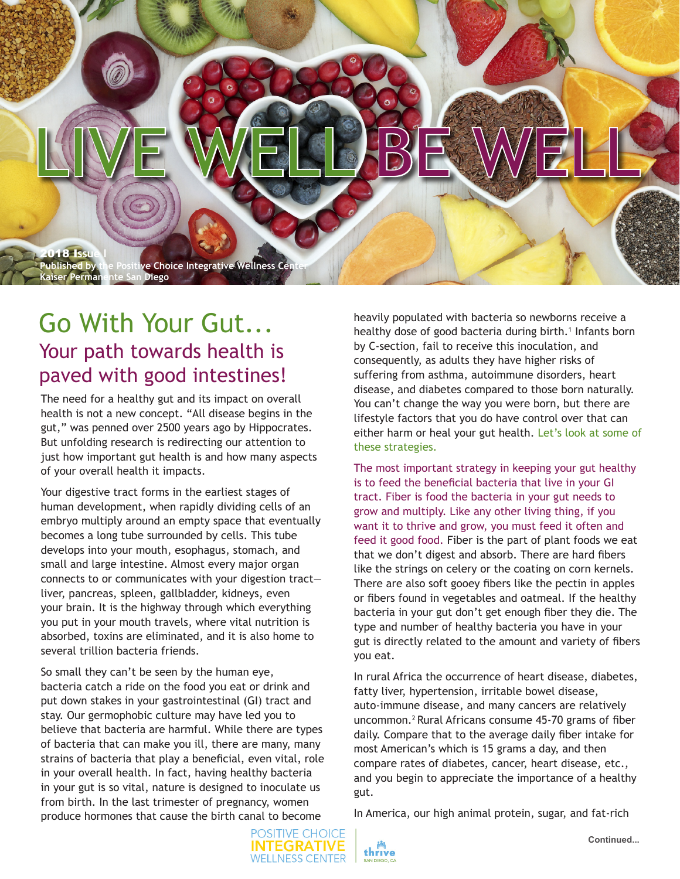

## Go With Your Gut... Your path towards health is paved with good intestines!

The need for a healthy gut and its impact on overall health is not a new concept. "All disease begins in the gut," was penned over 2500 years ago by Hippocrates. But unfolding research is redirecting our attention to just how important gut health is and how many aspects of your overall health it impacts.

Your digestive tract forms in the earliest stages of human development, when rapidly dividing cells of an embryo multiply around an empty space that eventually becomes a long tube surrounded by cells. This tube develops into your mouth, esophagus, stomach, and small and large intestine. Almost every major organ connects to or communicates with your digestion tract liver, pancreas, spleen, gallbladder, kidneys, even your brain. It is the highway through which everything you put in your mouth travels, where vital nutrition is absorbed, toxins are eliminated, and it is also home to several trillion bacteria friends.

So small they can't be seen by the human eye, bacteria catch a ride on the food you eat or drink and put down stakes in your gastrointestinal (GI) tract and stay. Our germophobic culture may have led you to believe that bacteria are harmful. While there are types of bacteria that can make you ill, there are many, many strains of bacteria that play a beneficial, even vital, role in your overall health. In fact, having healthy bacteria in your gut is so vital, nature is designed to inoculate us from birth. In the last trimester of pregnancy, women produce hormones that cause the birth canal to become

heavily populated with bacteria so newborns receive a healthy dose of good bacteria during birth.<sup>1</sup> Infants born by C-section, fail to receive this inoculation, and consequently, as adults they have higher risks of suffering from asthma, autoimmune disorders, heart disease, and diabetes compared to those born naturally. You can't change the way you were born, but there are lifestyle factors that you do have control over that can either harm or heal your gut health. Let's look at some of these strategies.

The most important strategy in keeping your gut healthy is to feed the beneficial bacteria that live in your GI tract. Fiber is food the bacteria in your gut needs to grow and multiply. Like any other living thing, if you want it to thrive and grow, you must feed it often and feed it good food. Fiber is the part of plant foods we eat that we don't digest and absorb. There are hard fibers like the strings on celery or the coating on corn kernels. There are also soft gooey fibers like the pectin in apples or fibers found in vegetables and oatmeal. If the healthy bacteria in your gut don't get enough fiber they die. The type and number of healthy bacteria you have in your gut is directly related to the amount and variety of fibers you eat.

In rural Africa the occurrence of heart disease, diabetes, fatty liver, hypertension, irritable bowel disease, auto-immune disease, and many cancers are relatively uncommon.2 Rural Africans consume 45-70 grams of fiber daily. Compare that to the average daily fiber intake for most American's which is 15 grams a day, and then compare rates of diabetes, cancer, heart disease, etc., and you begin to appreciate the importance of a healthy gut.

In America, our high animal protein, sugar, and fat-rich



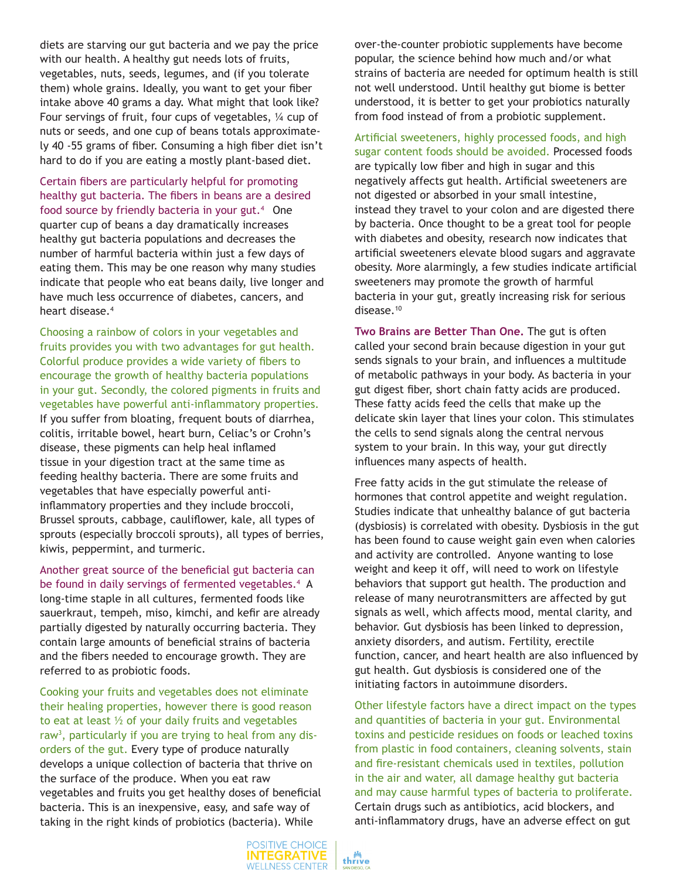diets are starving our gut bacteria and we pay the price with our health. A healthy gut needs lots of fruits, vegetables, nuts, seeds, legumes, and (if you tolerate them) whole grains. Ideally, you want to get your fiber intake above 40 grams a day. What might that look like? Four servings of fruit, four cups of vegetables, ¼ cup of nuts or seeds, and one cup of beans totals approximately 40 -55 grams of fiber. Consuming a high fiber diet isn't hard to do if you are eating a mostly plant-based diet.

Certain fibers are particularly helpful for promoting healthy gut bacteria. The fibers in beans are a desired food source by friendly bacteria in your gut.<sup>4</sup> One quarter cup of beans a day dramatically increases healthy gut bacteria populations and decreases the number of harmful bacteria within just a few days of eating them. This may be one reason why many studies indicate that people who eat beans daily, live longer and have much less occurrence of diabetes, cancers, and heart disease.<sup>4</sup>

Choosing a rainbow of colors in your vegetables and fruits provides you with two advantages for gut health. Colorful produce provides a wide variety of fibers to encourage the growth of healthy bacteria populations in your gut. Secondly, the colored pigments in fruits and vegetables have powerful anti-inflammatory properties. If you suffer from bloating, frequent bouts of diarrhea, colitis, irritable bowel, heart burn, Celiac's or Crohn's disease, these pigments can help heal inflamed tissue in your digestion tract at the same time as feeding healthy bacteria. There are some fruits and vegetables that have especially powerful antiinflammatory properties and they include broccoli, Brussel sprouts, cabbage, cauliflower, kale, all types of sprouts (especially broccoli sprouts), all types of berries, kiwis, peppermint, and turmeric.

Another great source of the beneficial gut bacteria can be found in daily servings of fermented vegetables.<sup>4</sup> A long-time staple in all cultures, fermented foods like sauerkraut, tempeh, miso, kimchi, and kefir are already partially digested by naturally occurring bacteria. They contain large amounts of beneficial strains of bacteria and the fibers needed to encourage growth. They are referred to as probiotic foods.

Cooking your fruits and vegetables does not eliminate their healing properties, however there is good reason to eat at least ½ of your daily fruits and vegetables raw<sup>3</sup>, particularly if you are trying to heal from any disorders of the gut. Every type of produce naturally develops a unique collection of bacteria that thrive on the surface of the produce. When you eat raw vegetables and fruits you get healthy doses of beneficial bacteria. This is an inexpensive, easy, and safe way of taking in the right kinds of probiotics (bacteria). While

over-the-counter probiotic supplements have become popular, the science behind how much and/or what strains of bacteria are needed for optimum health is still not well understood. Until healthy gut biome is better understood, it is better to get your probiotics naturally from food instead of from a probiotic supplement.

Artificial sweeteners, highly processed foods, and high sugar content foods should be avoided. Processed foods are typically low fiber and high in sugar and this negatively affects gut health. Artificial sweeteners are not digested or absorbed in your small intestine, instead they travel to your colon and are digested there by bacteria. Once thought to be a great tool for people with diabetes and obesity, research now indicates that artificial sweeteners elevate blood sugars and aggravate obesity. More alarmingly, a few studies indicate artificial sweeteners may promote the growth of harmful bacteria in your gut, greatly increasing risk for serious disease.<sup>10</sup>

**Two Brains are Better Than One.** The gut is often called your second brain because digestion in your gut sends signals to your brain, and influences a multitude of metabolic pathways in your body. As bacteria in your gut digest fiber, short chain fatty acids are produced. These fatty acids feed the cells that make up the delicate skin layer that lines your colon. This stimulates the cells to send signals along the central nervous system to your brain. In this way, your gut directly influences many aspects of health.

Free fatty acids in the gut stimulate the release of hormones that control appetite and weight regulation. Studies indicate that unhealthy balance of gut bacteria (dysbiosis) is correlated with obesity. Dysbiosis in the gut has been found to cause weight gain even when calories and activity are controlled. Anyone wanting to lose weight and keep it off, will need to work on lifestyle behaviors that support gut health. The production and release of many neurotransmitters are affected by gut signals as well, which affects mood, mental clarity, and behavior. Gut dysbiosis has been linked to depression, anxiety disorders, and autism. Fertility, erectile function, cancer, and heart health are also influenced by gut health. Gut dysbiosis is considered one of the initiating factors in autoimmune disorders.

Other lifestyle factors have a direct impact on the types and quantities of bacteria in your gut. Environmental toxins and pesticide residues on foods or leached toxins from plastic in food containers, cleaning solvents, stain and fire-resistant chemicals used in textiles, pollution in the air and water, all damage healthy gut bacteria and may cause harmful types of bacteria to proliferate. Certain drugs such as antibiotics, acid blockers, and anti-inflammatory drugs, have an adverse effect on gut

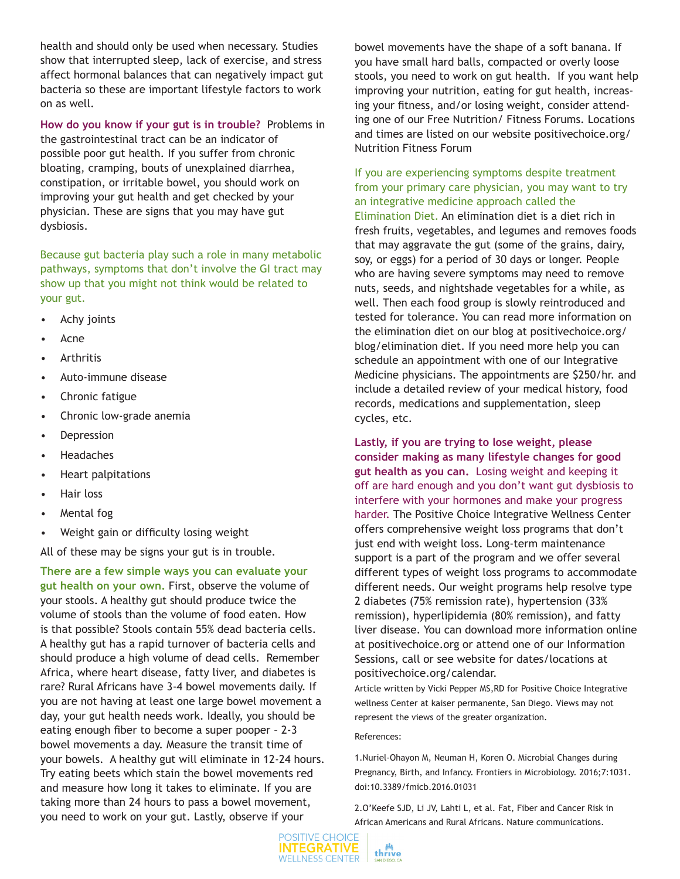health and should only be used when necessary. Studies show that interrupted sleep, lack of exercise, and stress affect hormonal balances that can negatively impact gut bacteria so these are important lifestyle factors to work on as well.

**How do you know if your gut is in trouble?** Problems in the gastrointestinal tract can be an indicator of possible poor gut health. If you suffer from chronic bloating, cramping, bouts of unexplained diarrhea, constipation, or irritable bowel, you should work on improving your gut health and get checked by your physician. These are signs that you may have gut dysbiosis.

Because gut bacteria play such a role in many metabolic pathways, symptoms that don't involve the GI tract may show up that you might not think would be related to your gut.

- Achy joints
- Acne
- **Arthritis**
- Auto-immune disease
- Chronic fatigue
- Chronic low-grade anemia
- **Depression**
- Headaches
- Heart palpitations
- Hair loss
- Mental fog
- Weight gain or difficulty losing weight

All of these may be signs your gut is in trouble.

**There are a few simple ways you can evaluate your gut health on your own.** First, observe the volume of your stools. A healthy gut should produce twice the volume of stools than the volume of food eaten. How is that possible? Stools contain 55% dead bacteria cells. A healthy gut has a rapid turnover of bacteria cells and should produce a high volume of dead cells. Remember Africa, where heart disease, fatty liver, and diabetes is rare? Rural Africans have 3-4 bowel movements daily. If you are not having at least one large bowel movement a day, your gut health needs work. Ideally, you should be eating enough fiber to become a super pooper – 2-3 bowel movements a day. Measure the transit time of your bowels. A healthy gut will eliminate in 12-24 hours. Try eating beets which stain the bowel movements red and measure how long it takes to eliminate. If you are taking more than 24 hours to pass a bowel movement, you need to work on your gut. Lastly, observe if your

bowel movements have the shape of a soft banana. If you have small hard balls, compacted or overly loose stools, you need to work on gut health. If you want help improving your nutrition, eating for gut health, increasing your fitness, and/or losing weight, consider attending one of our Free Nutrition/ Fitness Forums. Locations and times are listed on our website positivechoice.org/ Nutrition Fitness Forum

## If you are experiencing symptoms despite treatment from your primary care physician, you may want to try an integrative medicine approach called the

Elimination Diet. An elimination diet is a diet rich in fresh fruits, vegetables, and legumes and removes foods that may aggravate the gut (some of the grains, dairy, soy, or eggs) for a period of 30 days or longer. People who are having severe symptoms may need to remove nuts, seeds, and nightshade vegetables for a while, as well. Then each food group is slowly reintroduced and tested for tolerance. You can read more information on the elimination diet on our blog at positivechoice.org/ blog/elimination diet. If you need more help you can schedule an appointment with one of our Integrative Medicine physicians. The appointments are \$250/hr. and include a detailed review of your medical history, food records, medications and supplementation, sleep cycles, etc.

**Lastly, if you are trying to lose weight, please consider making as many lifestyle changes for good gut health as you can.** Losing weight and keeping it off are hard enough and you don't want gut dysbiosis to interfere with your hormones and make your progress harder. The Positive Choice Integrative Wellness Center offers comprehensive weight loss programs that don't just end with weight loss. Long-term maintenance support is a part of the program and we offer several different types of weight loss programs to accommodate different needs. Our weight programs help resolve type 2 diabetes (75% remission rate), hypertension (33% remission), hyperlipidemia (80% remission), and fatty liver disease. You can download more information online at positivechoice.org or attend one of our Information Sessions, call or see website for dates/locations at positivechoice.org/calendar.

Article written by Vicki Pepper MS,RD for Positive Choice Integrative wellness Center at kaiser permanente, San Diego. Views may not represent the views of the greater organization.

## References:

1.Nuriel-Ohayon M, Neuman H, Koren O. Microbial Changes during Pregnancy, Birth, and Infancy. Frontiers in Microbiology. 2016;7:1031. doi:10.3389/fmicb.2016.01031

2.O'Keefe SJD, Li JV, Lahti L, et al. Fat, Fiber and Cancer Risk in African Americans and Rural Africans. Nature communications.